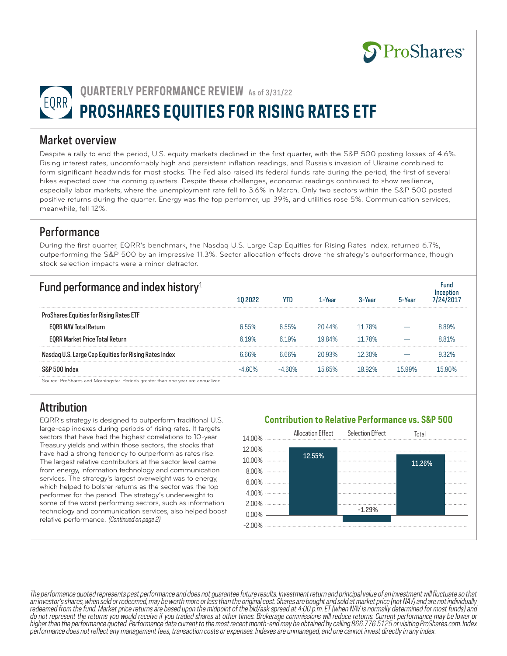

**QUARTERLY PERFORMANCE REVIEW** As of 3/31/22 **PROSHARES EQUITIES FOR RISING RATES ETF** 

#### Market overview

Despite a rally to end the period, U.S. equity markets declined in the first quarter, with the S&P 500 posting losses of 4.6%. Rising interest rates, uncomfortably high and persistent inflation readings, and Russia's invasion of Ukraine combined to form significant headwinds for most stocks. The Fed also raised its federal funds rate during the period, the first of several hikes expected over the coming quarters. Despite these challenges, economic readings continued to show resilience, especially labor markets, where the unemployment rate fell to 3.6% in March. Only two sectors within the S&P 500 posted positive returns during the quarter. Energy was the top performer, up 39%, and utilities rose 5%. Communication services, meanwhile, fell 12%.

### Performance

During the first quarter, EQRR's benchmark, the Nasdaq U.S. Large Cap Equities for Rising Rates Index, returned 6.7%, outperforming the S&P 500 by an impressive 11.3%. Sector allocation effects drove the strategy's outperformance, though stock selection impacts were a minor detractor.

| Fund performance and index history <sup>1</sup>                                  | 10 2022 | <b>YTD</b> | 1-Year | 3-Year | 5-Year | Fund    |
|----------------------------------------------------------------------------------|---------|------------|--------|--------|--------|---------|
| <b>ProShares Equities for Rising Rates ETF</b>                                   |         |            |        |        |        |         |
| <b>EORR NAV Total Return</b>                                                     | 6.55%   | 6.55%      | 20 44% | 11 78% |        | 889%    |
| <b>EORR Market Price Total Return</b>                                            | 619%    | 619%       | 1984%  | 11 78% |        | 881%    |
| Nasdag U.S. Large Cap Equities for Rising Rates Index                            |         |            | 20.93% | 12 3በ% |        |         |
| S&P 500 Index                                                                    |         | . 60%      | 1565%  |        | 15 99% | 1 h QNV |
| Source: ProShares and Morningstar. Periods greater than one year are annualized. |         |            |        |        |        |         |

# **Attribution**

EQRR's strategy is designed to outperform traditional U.S. large-cap indexes during periods of rising rates. It targets sectors that have had the highest correlations to 10-year Treasury yields and within those sectors, the stocks that have had a strong tendency to outperform as rates rise. The largest relative contributors at the sector level came from energy, information technology and communication services. The strategy's largest overweight was to energy, which helped to bolster returns as the sector was the top performer for the period. The strategy's underweight to some of the worst performing sectors, such as information technology and communication services, also helped boost relative performance. (Continued on page 2)

#### **Contribution to Relative Performance vs. S&P 500**



The performance quoted represents past performance and does not guarantee future results. Investment return and principal value of an investment will fluctuate so that an investor's shares, when sold or redeemed, may be worth more or less than the original cost. Shares are bought and sold at market price (not NAV) and are not individually redeemed from the fund. Market price returns are based upon the midpoint of the bid/ask spread at 4:00 p.m. ET (when NAV is normally determined for most funds) and do not represent the returns you would receive if you traded shares at other times. Brokerage commissions will reduce returns. Current performance may be lower or higher than the performance quoted. Performance data current to the most recent month-end may be obtained by calling 866.776.5125 or visiting ProShares.com. Index performance does not reflect any management fees, transaction costs or expenses. Indexes are unmanaged, and one cannot invest directly in any index.